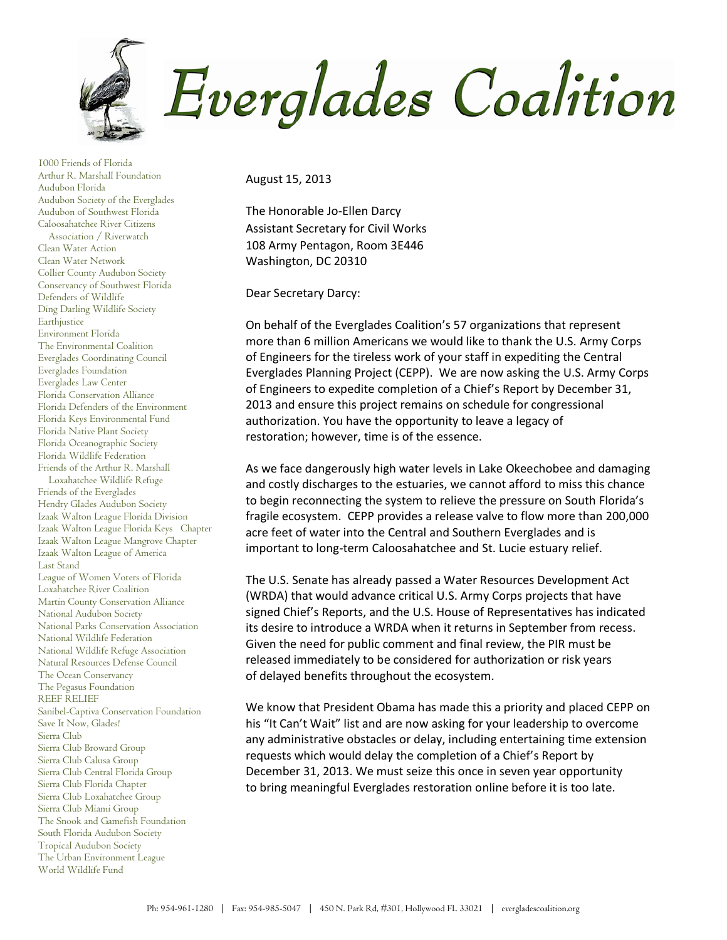

1000 Friends of Florida Arthur R. Marshall Foundation Audubon Florida Audubon Society of the Everglades Audubon of Southwest Florida Caloosahatchee River Citizens Association / Riverwatch Clean Water Action Clean Water Network Collier County Audubon Society Conservancy of Southwest Florida Defenders of Wildlife Ding Darling Wildlife Society Earthjustice Environment Florida The Environmental Coalition Everglades Coordinating Council Everglades Foundation Everglades Law Center Florida Conservation Alliance Florida Defenders of the Environment Florida Keys Environmental Fund Florida Native Plant Society Florida Oceanographic Society Florida Wildlife Federation Friends of the Arthur R. Marshall Loxahatchee Wildlife Refuge Friends of the Everglades Hendry Glades Audubon Society Izaak Walton League Florida Division Izaak Walton League Florida Keys Chapter Izaak Walton League Mangrove Chapter Izaak Walton League of America Last Stand League of Women Voters of Florida Loxahatchee River Coalition Martin County Conservation Alliance National Audubon Society National Parks Conservation Association National Wildlife Federation National Wildlife Refuge Association Natural Resources Defense Council The Ocean Conservancy The Pegasus Foundation REEF RELIEF Sanibel-Captiva Conservation Foundation Save It Now, Glades! Sierra Club Sierra Club Broward Group Sierra Club Calusa Group Sierra Club Central Florida Group Sierra Club Florida Chapter Sierra Club Loxahatchee Group Sierra Club Miami Group The Snook and Gamefish Foundation South Florida Audubon Society Tropical Audubon Society The Urban Environment League World Wildlife Fund

August 15, 2013

The Honorable Jo-Ellen Darcy Assistant Secretary for Civil Works 108 Army Pentagon, Room 3E446 Washington, DC 20310

Dear Secretary Darcy:

On behalf of the Everglades Coalition's 57 organizations that represent more than 6 million Americans we would like to thank the U.S. Army Corps of Engineers for the tireless work of your staff in expediting the Central Everglades Planning Project (CEPP). We are now asking the U.S. Army Corps of Engineers to expedite completion of a Chief's Report by December 31, 2013 and ensure this project remains on schedule for congressional authorization. You have the opportunity to leave a legacy of restoration; however, time is of the essence.

As we face dangerously high water levels in Lake Okeechobee and damaging and costly discharges to the estuaries, we cannot afford to miss this chance to begin reconnecting the system to relieve the pressure on South Florida's fragile ecosystem. CEPP provides a release valve to flow more than 200,000 acre feet of water into the Central and Southern Everglades and is important to long-term Caloosahatchee and St. Lucie estuary relief.

The U.S. Senate has already passed a Water Resources Development Act (WRDA) that would advance critical U.S. Army Corps projects that have signed Chief's Reports, and the U.S. House of Representatives has indicated its desire to introduce a WRDA when it returns in September from recess. Given the need for public comment and final review, the PIR must be released immediately to be considered for authorization or risk years of delayed benefits throughout the ecosystem.

We know that President Obama has made this a priority and placed CEPP on his "It Can't Wait" list and are now asking for your leadership to overcome any administrative obstacles or delay, including entertaining time extension requests which would delay the completion of a Chief's Report by December 31, 2013. We must seize this once in seven year opportunity to bring meaningful Everglades restoration online before it is too late.